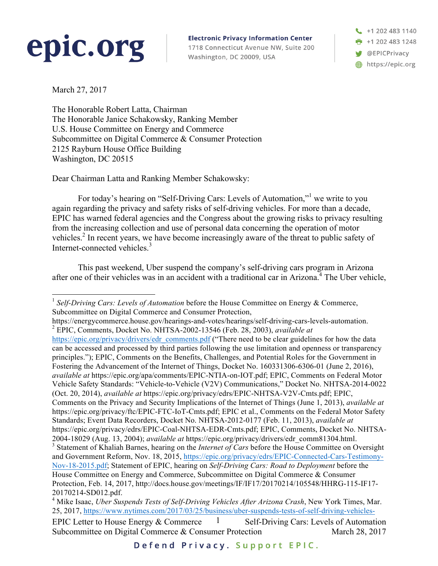## epic.org

**Electronic Privacy Information Center** 

1718 Connecticut Avenue NW, Suite 200 Washington, DC 20009, USA

+1 202 483 1140  $\frac{1}{2}$  +1 202 483 1248 **W** @EPICPrivacy https://epic.org

March 27, 2017

The Honorable Robert Latta, Chairman The Honorable Janice Schakowsky, Ranking Member U.S. House Committee on Energy and Commerce Subcommittee on Digital Commerce & Consumer Protection 2125 Rayburn House Office Building Washington, DC 20515

Dear Chairman Latta and Ranking Member Schakowsky:

For today's hearing on "Self-Driving Cars: Levels of Automation,"<sup>1</sup> we write to you again regarding the privacy and safety risks of self-driving vehicles. For more than a decade, EPIC has warned federal agencies and the Congress about the growing risks to privacy resulting from the increasing collection and use of personal data concerning the operation of motor vehicles.<sup>2</sup> In recent years, we have become increasingly aware of the threat to public safety of Internet-connected vehicles.<sup>3</sup>

This past weekend, Uber suspend the company's self-driving cars program in Arizona after one of their vehicles was in an accident with a traditional car in Arizona.4 The Uber vehicle,

https://energycommerce.house.gov/hearings-and-votes/hearings/self-driving-cars-levels-automation. <sup>2</sup> EPIC, Comments, Docket No. NHTSA-2002-13546 (Feb. 28, 2003), *available at*  https://epic.org/privacy/drivers/edr\_comments.pdf ("There need to be clear guidelines for how the data can be accessed and processed by third parties following the use limitation and openness or transparency principles."); EPIC, Comments on the Benefits, Challenges, and Potential Roles for the Government in Fostering the Advancement of the Internet of Things, Docket No. 160331306-6306-01 (June 2, 2016), *available at* https://epic.org/apa/comments/EPIC-NTIA-on-IOT.pdf; EPIC, Comments on Federal Motor Vehicle Safety Standards: "Vehicle-to-Vehicle (V2V) Communications," Docket No. NHTSA-2014-0022 (Oct. 20, 2014), *available at* https://epic.org/privacy/edrs/EPIC-NHTSA-V2V-Cmts.pdf; EPIC, Comments on the Privacy and Security Implications of the Internet of Things (June 1, 2013), *available at*  https://epic.org/privacy/ftc/EPIC-FTC-IoT-Cmts.pdf; EPIC et al., Comments on the Federal Motor Safety Standards; Event Data Recorders, Docket No. NHTSA-2012-0177 (Feb. 11, 2013), *available at* https://epic.org/privacy/edrs/EPIC-Coal-NHTSA-EDR-Cmts.pdf; EPIC, Comments, Docket No. NHTSA-2004-18029 (Aug. 13, 2004); *available at* https://epic.org/privacy/drivers/edr\_comm81304.html. <sup>3</sup> Statement of Khaliah Barnes, hearing on the *Internet of Cars* before the House Committee on Oversight and Government Reform, Nov. 18, 2015, https://epic.org/privacy/edrs/EPIC-Connected-Cars-Testimony-Nov-18-2015.pdf; Statement of EPIC, hearing on *Self-Driving Cars: Road to Deployment* before the House Committee on Energy and Commerce, Subcommittee on Digital Commerce & Consumer Protection, Feb. 14, 2017, http://docs.house.gov/meetings/IF/IF17/20170214/105548/HHRG-115-IF17-

EPIC Letter to House Energy & Commerce  $1$  Self-Driving Cars: Levels of Automation Subcommittee on Digital Commerce & Consumer Protection March 28, 2017 1 20170214-SD012.pdf. <sup>4</sup> Mike Isaac, *Uber Suspends Tests of Self-Driving Vehicles After Arizona Crash*, New York Times, Mar. 25, 2017, https://www.nytimes.com/2017/03/25/business/uber-suspends-tests-of-self-driving-vehicles-

<sup>&</sup>lt;sup>1</sup> *Self-Driving Cars: Levels of Automation* before the House Committee on Energy & Commerce, Subcommittee on Digital Commerce and Consumer Protection,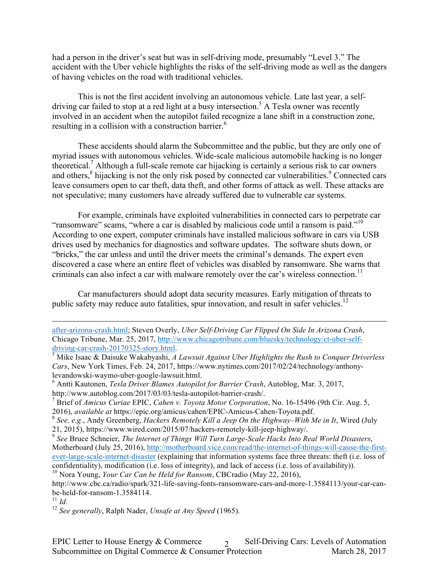had a person in the driver's seat but was in self-driving mode, presumably "Level 3." The accident with the Uber vehicle highlights the risks of the self-driving mode as well as the dangers of having vehicles on the road with traditional vehicles.

This is not the first accident involving an autonomous vehicle. Late last year, a selfdriving car failed to stop at a red light at a busy intersection.<sup>5</sup> A Tesla owner was recently involved in an accident when the autopilot failed recognize a lane shift in a construction zone, resulting in a collision with a construction barrier.<sup>6</sup>

These accidents should alarm the Subcommittee and the public, but they are only one of myriad issues with autonomous vehicles. Wide-scale malicious automobile hacking is no longer theoretical.7 Although a full-scale remote car hijacking is certainly a serious risk to car owners and others,<sup>8</sup> hijacking is not the only risk posed by connected car vulnerabilities.<sup>9</sup> Connected cars leave consumers open to car theft, data theft, and other forms of attack as well. These attacks are not speculative; many customers have already suffered due to vulnerable car systems.

For example, criminals have exploited vulnerabilities in connected cars to perpetrate car "ransomware" scams, "where a car is disabled by malicious code until a ransom is paid."<sup>10</sup> According to one expert, computer criminals have installed malicious software in cars via USB drives used by mechanics for diagnostics and software updates. The software shuts down, or "bricks," the car unless and until the driver meets the criminal's demands. The expert even discovered a case where an entire fleet of vehicles was disabled by ransomware. She warns that criminals can also infect a car with malware remotely over the car's wireless connection.<sup>11</sup>

Car manufacturers should adopt data security measures. Early mitigation of threats to public safety may reduce auto fatalities, spur innovation, and result in safer vehicles.<sup>12</sup>

 $\overline{a}$ 

after-arizona-crash.html; Steven Overly, *Uber Self-Driving Car Flipped On Side In Arizona Crash*, Chicago Tribune, Mar. 25, 2017, http://www.chicagotribune.com/bluesky/technology/ct-uber-selfdriving-car-crash-20170325-story.html.<br><sup>5</sup> Mike Isaac & Daisuke Wakabyashi, *A Lawsuit Against Uber Highlights the Rush to Conquer Driverless* 

*Cars*, New York Times, Feb. 24, 2017, https://www.nytimes.com/2017/02/24/technology/anthonylevandowski-waymo-uber-google-lawsuit.html.

<sup>6</sup> Antti Kautonen, *Tesla Driver Blames Autopilot for Barrier Crash*, Autoblog, Mar. 3, 2017, http://www.autoblog.com/2017/03/03/tesla-autopilot-barrier-crash/.

<sup>7</sup> Brief of *Amicus Curiae* EPIC, *Cahen v. Toyota Motor Corporation*, No. 16-15496 (9th Cir. Aug. 5, 2016), *available at* https://epic.org/amicus/cahen/EPIC-Amicus-Cahen-Toyota.pdf.

<sup>8</sup> *See, e.g.*, Andy Greenberg, *Hackers Remotely Kill a Jeep On the Highway–With Me in It*, Wired (July 21, 2015), https://www.wired.com/2015/07/hackers-remotely-kill-jeep-highway/.

<sup>9</sup> *See* Bruce Schneier, *The Internet of Things Will Turn Large-Scale Hacks Into Real World Disasters*, Motherboard (July 25, 2016), http://motherboard.vice.com/read/the-internet-of-things-will-cause-the-firstever-large-scale-internet-disaster (explaining that information systems face three threats: theft (i.e. loss of confidentiality), modification (i.e. loss of integrity), and lack of access (i.e. loss of availability)). <sup>10</sup> Nora Young, *Your Car Can be Held for Ransom*, CBCradio (May 22, 2016),

http://www.cbc.ca/radio/spark/321-life-saving-fonts-ransomware-cars-and-more-1.3584113/your-car-canbe-held-for-ransom-1.3584114. <sup>11</sup> *Id.*

<sup>12</sup> *See generally*, Ralph Nader, *Unsafe at Any Speed* (1965).